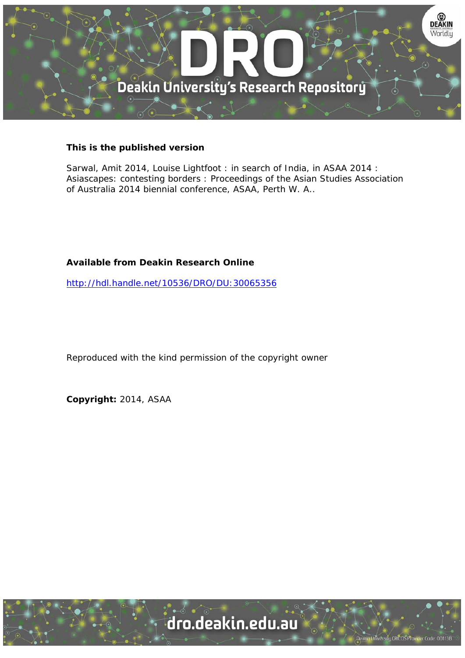

### **This is the published version**

Sarwal, Amit 2014, Louise Lightfoot : in search of India, in ASAA 2014 : Asiascapes: contesting borders : Proceedings of the Asian Studies Association of Australia 2014 biennial conference, ASAA, Perth W. A..

### **Available from Deakin Research Online**

http://hdl.handle.net/10536/DRO/DU:30065356

Reproduced with the kind permission of the copyright owner

**Copyright:** 2014, ASAA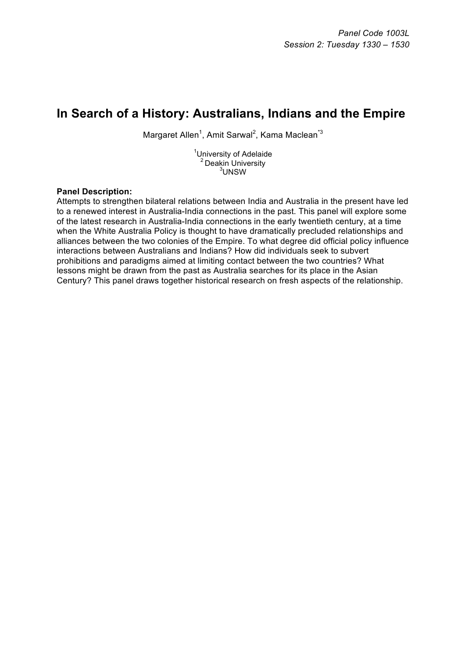# **In Search of a History: Australians, Indians and the Empire**

Margaret Allen<sup>1</sup>, Amit Sarwal<sup>2</sup>, Kama Maclean<sup>\*3</sup>

<sup>1</sup>University of Adelaide <sup>2</sup> Deakin University <sup>3</sup>UNSW

#### **Panel Description:**

Attempts to strengthen bilateral relations between India and Australia in the present have led to a renewed interest in Australia-India connections in the past. This panel will explore some of the latest research in Australia-India connections in the early twentieth century, at a time when the White Australia Policy is thought to have dramatically precluded relationships and alliances between the two colonies of the Empire. To what degree did official policy influence interactions between Australians and Indians? How did individuals seek to subvert prohibitions and paradigms aimed at limiting contact between the two countries? What lessons might be drawn from the past as Australia searches for its place in the Asian Century? This panel draws together historical research on fresh aspects of the relationship.